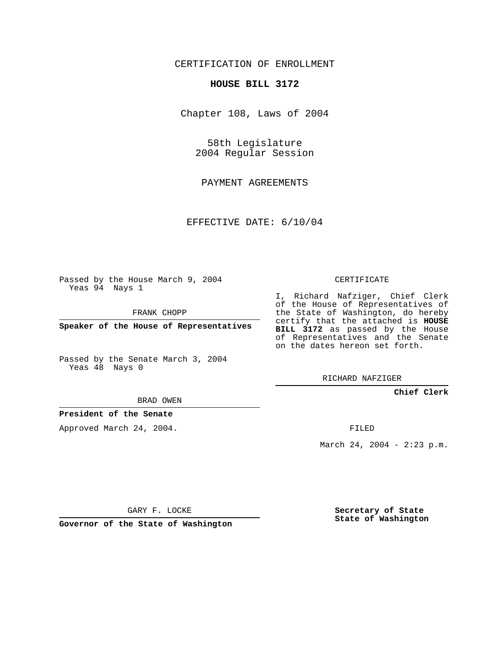CERTIFICATION OF ENROLLMENT

## **HOUSE BILL 3172**

Chapter 108, Laws of 2004

58th Legislature 2004 Regular Session

PAYMENT AGREEMENTS

EFFECTIVE DATE: 6/10/04

Passed by the House March 9, 2004 Yeas 94 Nays 1

FRANK CHOPP

**Speaker of the House of Representatives**

Passed by the Senate March 3, 2004 Yeas 48 Nays 0

BRAD OWEN

**President of the Senate**

Approved March 24, 2004.

CERTIFICATE

I, Richard Nafziger, Chief Clerk of the House of Representatives of the State of Washington, do hereby certify that the attached is **HOUSE BILL 3172** as passed by the House of Representatives and the Senate on the dates hereon set forth.

RICHARD NAFZIGER

**Chief Clerk**

FILED

March 24, 2004 - 2:23 p.m.

GARY F. LOCKE

**Governor of the State of Washington**

**Secretary of State State of Washington**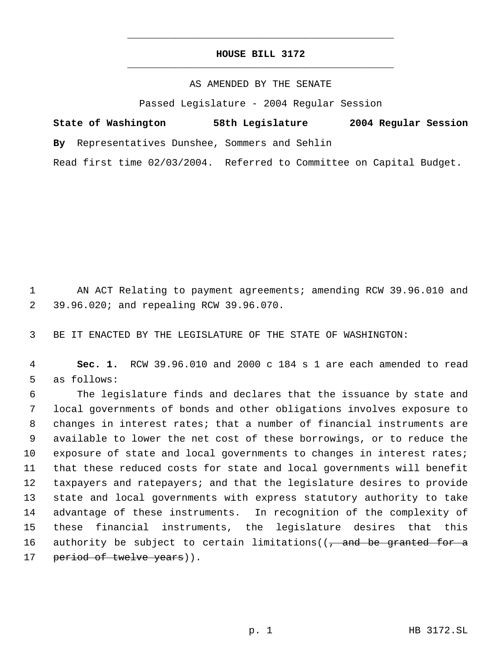## **HOUSE BILL 3172** \_\_\_\_\_\_\_\_\_\_\_\_\_\_\_\_\_\_\_\_\_\_\_\_\_\_\_\_\_\_\_\_\_\_\_\_\_\_\_\_\_\_\_\_\_

\_\_\_\_\_\_\_\_\_\_\_\_\_\_\_\_\_\_\_\_\_\_\_\_\_\_\_\_\_\_\_\_\_\_\_\_\_\_\_\_\_\_\_\_\_

## AS AMENDED BY THE SENATE

Passed Legislature - 2004 Regular Session

|  | State of Washington | 58th Legislature                               |  |  |                                                                      | 2004 Regular Session |  |
|--|---------------------|------------------------------------------------|--|--|----------------------------------------------------------------------|----------------------|--|
|  |                     | By Representatives Dunshee, Sommers and Sehlin |  |  |                                                                      |                      |  |
|  |                     |                                                |  |  | Read first time 02/03/2004. Referred to Committee on Capital Budget. |                      |  |

 1 AN ACT Relating to payment agreements; amending RCW 39.96.010 and 2 39.96.020; and repealing RCW 39.96.070.

3 BE IT ENACTED BY THE LEGISLATURE OF THE STATE OF WASHINGTON:

 4 **Sec. 1.** RCW 39.96.010 and 2000 c 184 s 1 are each amended to read 5 as follows:

 The legislature finds and declares that the issuance by state and local governments of bonds and other obligations involves exposure to changes in interest rates; that a number of financial instruments are available to lower the net cost of these borrowings, or to reduce the exposure of state and local governments to changes in interest rates; that these reduced costs for state and local governments will benefit taxpayers and ratepayers; and that the legislature desires to provide state and local governments with express statutory authority to take advantage of these instruments. In recognition of the complexity of these financial instruments, the legislature desires that this 16 authority be subject to certain limitations( $(-$  and be granted for a 17 period of twelve years)).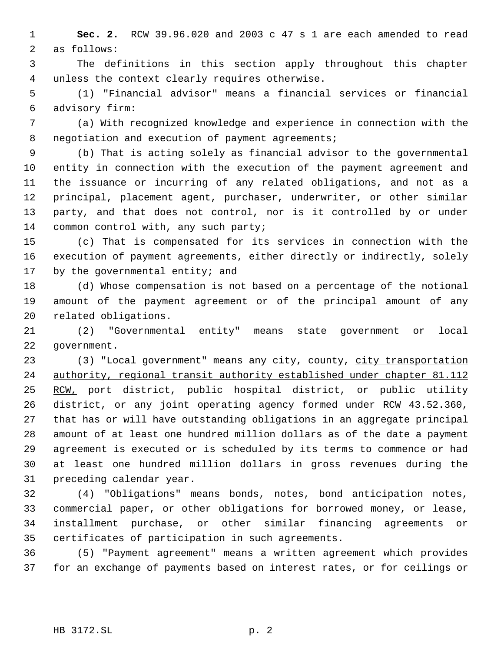**Sec. 2.** RCW 39.96.020 and 2003 c 47 s 1 are each amended to read as follows:

 The definitions in this section apply throughout this chapter unless the context clearly requires otherwise.

 (1) "Financial advisor" means a financial services or financial advisory firm:

 (a) With recognized knowledge and experience in connection with the 8 negotiation and execution of payment agreements;

 (b) That is acting solely as financial advisor to the governmental entity in connection with the execution of the payment agreement and the issuance or incurring of any related obligations, and not as a principal, placement agent, purchaser, underwriter, or other similar party, and that does not control, nor is it controlled by or under 14 common control with, any such party;

 (c) That is compensated for its services in connection with the execution of payment agreements, either directly or indirectly, solely 17 by the governmental entity; and

 (d) Whose compensation is not based on a percentage of the notional amount of the payment agreement or of the principal amount of any related obligations.

 (2) "Governmental entity" means state government or local government.

23 (3) "Local government" means any city, county, city transportation 24 authority, regional transit authority established under chapter 81.112 RCW, port district, public hospital district, or public utility district, or any joint operating agency formed under RCW 43.52.360, that has or will have outstanding obligations in an aggregate principal amount of at least one hundred million dollars as of the date a payment agreement is executed or is scheduled by its terms to commence or had at least one hundred million dollars in gross revenues during the preceding calendar year.

 (4) "Obligations" means bonds, notes, bond anticipation notes, commercial paper, or other obligations for borrowed money, or lease, installment purchase, or other similar financing agreements or certificates of participation in such agreements.

 (5) "Payment agreement" means a written agreement which provides for an exchange of payments based on interest rates, or for ceilings or